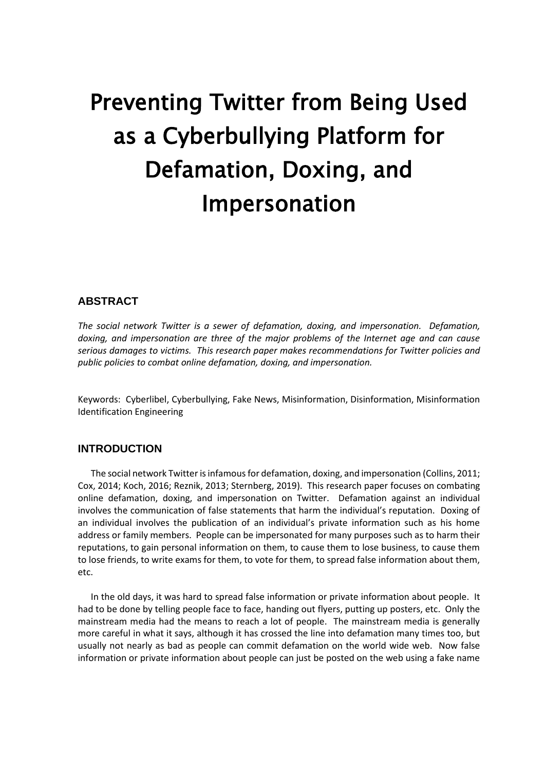# Preventing Twitter from Being Used as a Cyberbullying Platform for Defamation, Doxing, and Impersonation

# **ABSTRACT**

*The social network Twitter is a sewer of defamation, doxing, and impersonation. Defamation, doxing, and impersonation are three of the major problems of the Internet age and can cause serious damages to victims. This research paper makes recommendations for Twitter policies and public policies to combat online defamation, doxing, and impersonation.* 

Keywords: Cyberlibel, Cyberbullying, Fake News, Misinformation, Disinformation, Misinformation Identification Engineering

# **INTRODUCTION**

The social network Twitter is infamous for defamation, doxing, and impersonation (Collins, 2011; Cox, 2014; Koch, 2016; Reznik, 2013; Sternberg, 2019). This research paper focuses on combating online defamation, doxing, and impersonation on Twitter. Defamation against an individual involves the communication of false statements that harm the individual's reputation. Doxing of an individual involves the publication of an individual's private information such as his home address or family members. People can be impersonated for many purposes such as to harm their reputations, to gain personal information on them, to cause them to lose business, to cause them to lose friends, to write exams for them, to vote for them, to spread false information about them, etc.

In the old days, it was hard to spread false information or private information about people. It had to be done by telling people face to face, handing out flyers, putting up posters, etc. Only the mainstream media had the means to reach a lot of people. The mainstream media is generally more careful in what it says, although it has crossed the line into defamation many times too, but usually not nearly as bad as people can commit defamation on the world wide web. Now false information or private information about people can just be posted on the web using a fake name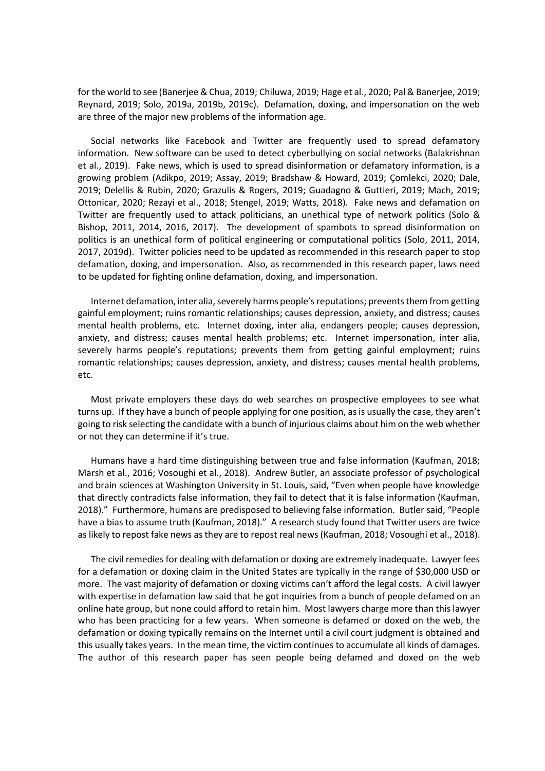for the world to see (Banerjee & Chua, 2019; Chiluwa, 2019; Hage et al., 2020; Pal & Banerjee, 2019; Reynard, 2019; Solo, 2019a, 2019b, 2019c). Defamation, doxing, and impersonation on the web are three of the major new problems of the information age.

Social networks like Facebook and Twitter are frequently used to spread defamatory information. New software can be used to detect cyberbullying on social networks (Balakrishnan et al., 2019). Fake news, which is used to spread disinformation or defamatory information, is a growing problem (Adikpo, 2019; Assay, 2019; Bradshaw & Howard, 2019; Çomlekci, 2020; Dale, 2019; Delellis & Rubin, 2020; Grazulis & Rogers, 2019; Guadagno & Guttieri, 2019; Mach, 2019; Ottonicar, 2020; Rezayi et al., 2018; Stengel, 2019; Watts, 2018). Fake news and defamation on Twitter are frequently used to attack politicians, an unethical type of network politics (Solo & Bishop, 2011, 2014, 2016, 2017). The development of spambots to spread disinformation on politics is an unethical form of political engineering or computational politics (Solo, 2011, 2014, 2017, 2019d). Twitter policies need to be updated as recommended in this research paper to stop defamation, doxing, and impersonation. Also, as recommended in this research paper, laws need to be updated for fighting online defamation, doxing, and impersonation.

Internet defamation, inter alia, severely harms people's reputations; prevents them from getting gainful employment; ruins romantic relationships; causes depression, anxiety, and distress; causes mental health problems, etc. Internet doxing, inter alia, endangers people; causes depression, anxiety, and distress; causes mental health problems; etc. Internet impersonation, inter alia, severely harms people's reputations; prevents them from getting gainful employment; ruins romantic relationships; causes depression, anxiety, and distress; causes mental health problems, etc.

Most private employers these days do web searches on prospective employees to see what turns up. If they have a bunch of people applying for one position, as is usually the case, they aren't going to risk selecting the candidate with a bunch of injurious claims about him on the web whether or not they can determine if it's true.

Humans have a hard time distinguishing between true and false information (Kaufman, 2018; Marsh et al., 2016; Vosoughi et al., 2018). Andrew Butler, an associate professor of psychological and brain sciences at Washington University in St. Louis, said, "Even when people have knowledge that directly contradicts false information, they fail to detect that it is false information (Kaufman, 2018)." Furthermore, humans are predisposed to believing false information. Butler said, "People have a bias to assume truth (Kaufman, 2018)." A research study found that Twitter users are twice as likely to repost fake news as they are to repost real news (Kaufman, 2018; Vosoughi et al., 2018).

The civil remedies for dealing with defamation or doxing are extremely inadequate. Lawyer fees for a defamation or doxing claim in the United States are typically in the range of \$30,000 USD or more. The vast majority of defamation or doxing victims can't afford the legal costs. A civil lawyer with expertise in defamation law said that he got inquiries from a bunch of people defamed on an online hate group, but none could afford to retain him. Most lawyers charge more than this lawyer who has been practicing for a few years. When someone is defamed or doxed on the web, the defamation or doxing typically remains on the Internet until a civil court judgment is obtained and this usually takes years. In the mean time, the victim continues to accumulate all kinds of damages. The author of this research paper has seen people being defamed and doxed on the web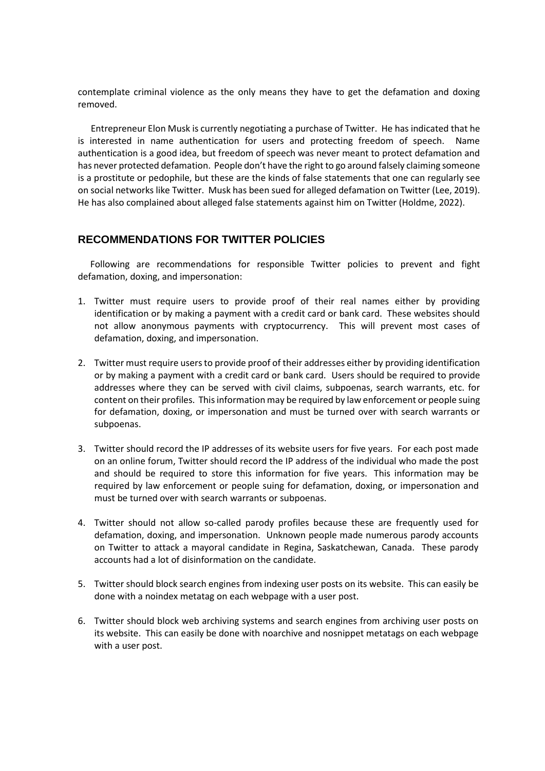contemplate criminal violence as the only means they have to get the defamation and doxing removed.

Entrepreneur Elon Musk is currently negotiating a purchase of Twitter. He has indicated that he is interested in name authentication for users and protecting freedom of speech. Name authentication is a good idea, but freedom of speech was never meant to protect defamation and has never protected defamation. People don't have the right to go around falsely claiming someone is a prostitute or pedophile, but these are the kinds of false statements that one can regularly see on social networks like Twitter. Musk has been sued for alleged defamation on Twitter (Lee, 2019). He has also complained about alleged false statements against him on Twitter (Holdme, 2022).

## **RECOMMENDATIONS FOR TWITTER POLICIES**

Following are recommendations for responsible Twitter policies to prevent and fight defamation, doxing, and impersonation:

- 1. Twitter must require users to provide proof of their real names either by providing identification or by making a payment with a credit card or bank card. These websites should not allow anonymous payments with cryptocurrency. This will prevent most cases of defamation, doxing, and impersonation.
- 2. Twitter must require users to provide proof of their addresses either by providing identification or by making a payment with a credit card or bank card. Users should be required to provide addresses where they can be served with civil claims, subpoenas, search warrants, etc. for content on their profiles. This information may be required by law enforcement or people suing for defamation, doxing, or impersonation and must be turned over with search warrants or subpoenas.
- 3. Twitter should record the IP addresses of its website users for five years. For each post made on an online forum, Twitter should record the IP address of the individual who made the post and should be required to store this information for five years. This information may be required by law enforcement or people suing for defamation, doxing, or impersonation and must be turned over with search warrants or subpoenas.
- 4. Twitter should not allow so-called parody profiles because these are frequently used for defamation, doxing, and impersonation. Unknown people made numerous parody accounts on Twitter to attack a mayoral candidate in Regina, Saskatchewan, Canada. These parody accounts had a lot of disinformation on the candidate.
- 5. Twitter should block search engines from indexing user posts on its website. This can easily be done with a noindex metatag on each webpage with a user post.
- 6. Twitter should block web archiving systems and search engines from archiving user posts on its website. This can easily be done with noarchive and nosnippet metatags on each webpage with a user post.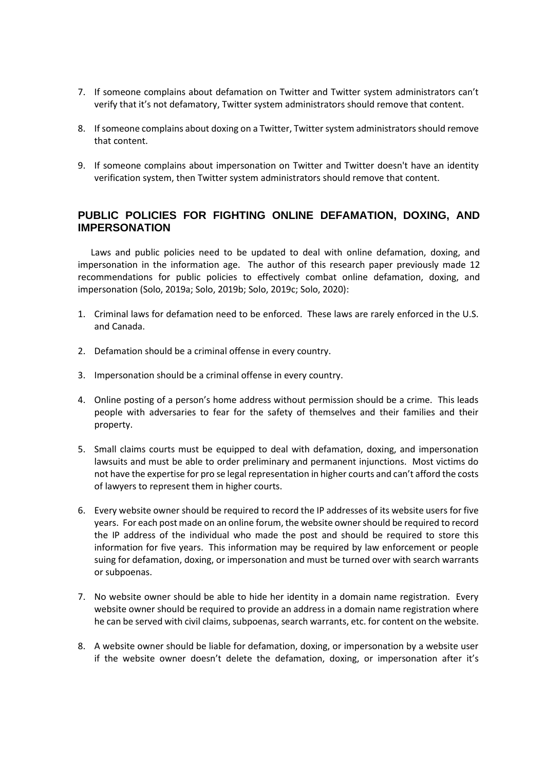- 7. If someone complains about defamation on Twitter and Twitter system administrators can't verify that it's not defamatory, Twitter system administrators should remove that content.
- 8. If someone complains about doxing on a Twitter, Twitter system administrators should remove that content.
- 9. If someone complains about impersonation on Twitter and Twitter doesn't have an identity verification system, then Twitter system administrators should remove that content.

# **PUBLIC POLICIES FOR FIGHTING ONLINE DEFAMATION, DOXING, AND IMPERSONATION**

Laws and public policies need to be updated to deal with online defamation, doxing, and impersonation in the information age. The author of this research paper previously made 12 recommendations for public policies to effectively combat online defamation, doxing, and impersonation (Solo, 2019a; Solo, 2019b; Solo, 2019c; Solo, 2020):

- 1. Criminal laws for defamation need to be enforced. These laws are rarely enforced in the U.S. and Canada.
- 2. Defamation should be a criminal offense in every country.
- 3. Impersonation should be a criminal offense in every country.
- 4. Online posting of a person's home address without permission should be a crime. This leads people with adversaries to fear for the safety of themselves and their families and their property.
- 5. Small claims courts must be equipped to deal with defamation, doxing, and impersonation lawsuits and must be able to order preliminary and permanent injunctions. Most victims do not have the expertise for pro se legal representation in higher courts and can't afford the costs of lawyers to represent them in higher courts.
- 6. Every website owner should be required to record the IP addresses of its website users for five years. For each post made on an online forum, the website owner should be required to record the IP address of the individual who made the post and should be required to store this information for five years. This information may be required by law enforcement or people suing for defamation, doxing, or impersonation and must be turned over with search warrants or subpoenas.
- 7. No website owner should be able to hide her identity in a domain name registration. Every website owner should be required to provide an address in a domain name registration where he can be served with civil claims, subpoenas, search warrants, etc. for content on the website.
- 8. A website owner should be liable for defamation, doxing, or impersonation by a website user if the website owner doesn't delete the defamation, doxing, or impersonation after it's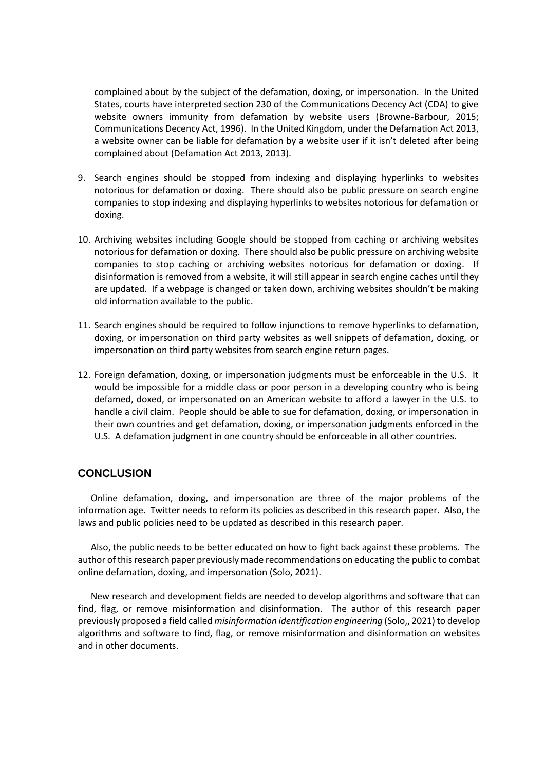complained about by the subject of the defamation, doxing, or impersonation. In the United States, courts have interpreted section 230 of the Communications Decency Act (CDA) to give website owners immunity from defamation by website users (Browne-Barbour, 2015; Communications Decency Act, 1996). In the United Kingdom, under the Defamation Act 2013, a website owner can be liable for defamation by a website user if it isn't deleted after being complained about (Defamation Act 2013, 2013).

- 9. Search engines should be stopped from indexing and displaying hyperlinks to websites notorious for defamation or doxing. There should also be public pressure on search engine companies to stop indexing and displaying hyperlinks to websites notorious for defamation or doxing.
- 10. Archiving websites including Google should be stopped from caching or archiving websites notorious for defamation or doxing. There should also be public pressure on archiving website companies to stop caching or archiving websites notorious for defamation or doxing. If disinformation is removed from a website, it will still appear in search engine caches until they are updated. If a webpage is changed or taken down, archiving websites shouldn't be making old information available to the public.
- 11. Search engines should be required to follow injunctions to remove hyperlinks to defamation, doxing, or impersonation on third party websites as well snippets of defamation, doxing, or impersonation on third party websites from search engine return pages.
- 12. Foreign defamation, doxing, or impersonation judgments must be enforceable in the U.S. It would be impossible for a middle class or poor person in a developing country who is being defamed, doxed, or impersonated on an American website to afford a lawyer in the U.S. to handle a civil claim. People should be able to sue for defamation, doxing, or impersonation in their own countries and get defamation, doxing, or impersonation judgments enforced in the U.S. A defamation judgment in one country should be enforceable in all other countries.

#### **CONCLUSION**

Online defamation, doxing, and impersonation are three of the major problems of the information age. Twitter needs to reform its policies as described in this research paper. Also, the laws and public policies need to be updated as described in this research paper.

Also, the public needs to be better educated on how to fight back against these problems. The author of this research paper previously made recommendations on educating the public to combat online defamation, doxing, and impersonation (Solo, 2021).

New research and development fields are needed to develop algorithms and software that can find, flag, or remove misinformation and disinformation. The author of this research paper previously proposed a field called *misinformation identification engineering* (Solo,, 2021) to develop algorithms and software to find, flag, or remove misinformation and disinformation on websites and in other documents.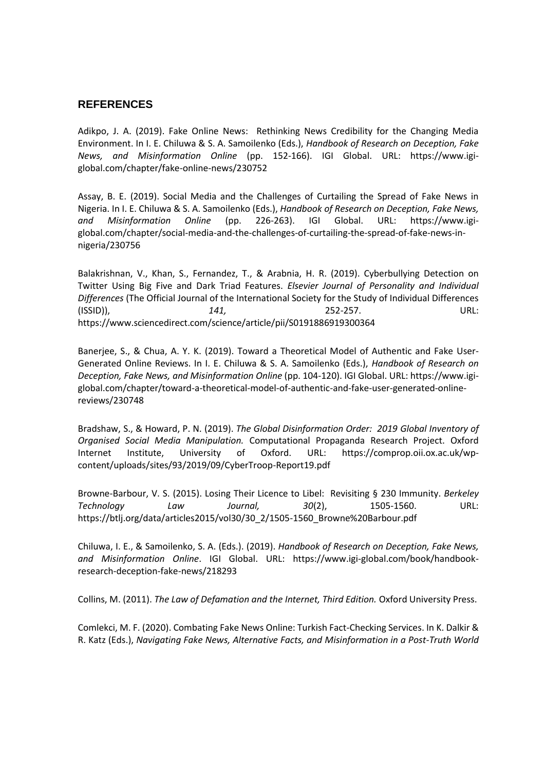### **REFERENCES**

Adikpo, J. A. (2019). Fake Online News: Rethinking News Credibility for the Changing Media Environment. In I. E. Chiluwa & S. A. Samoilenko (Eds.), *Handbook of Research on Deception, Fake News, and Misinformation Online* (pp. 152-166). IGI Global. URL: https://www.igiglobal.com/chapter/fake-online-news/230752

Assay, B. E. (2019). Social Media and the Challenges of Curtailing the Spread of Fake News in Nigeria. In I. E. Chiluwa & S. A. Samoilenko (Eds.), *Handbook of Research on Deception, Fake News, and Misinformation Online* (pp. 226-263). IGI Global. URL: https://www.igiglobal.com/chapter/social-media-and-the-challenges-of-curtailing-the-spread-of-fake-news-innigeria/230756

Balakrishnan, V., Khan, S., Fernandez, T., & Arabnia, H. R. (2019). Cyberbullying Detection on Twitter Using Big Five and Dark Triad Features. *Elsevier Journal of Personality and Individual Differences* (The Official Journal of the International Society for the Study of Individual Differences (ISSID)), *141,* 252-257. URL: https://www.sciencedirect.com/science/article/pii/S0191886919300364

Banerjee, S., & Chua, A. Y. K. (2019). Toward a Theoretical Model of Authentic and Fake User-Generated Online Reviews. In I. E. Chiluwa & S. A. Samoilenko (Eds.), *Handbook of Research on Deception, Fake News, and Misinformation Online* (pp. 104-120). IGI Global. URL: https://www.igiglobal.com/chapter/toward-a-theoretical-model-of-authentic-and-fake-user-generated-onlinereviews/230748

Bradshaw, S., & Howard, P. N. (2019). *The Global Disinformation Order: 2019 Global Inventory of Organised Social Media Manipulation.* Computational Propaganda Research Project. Oxford Internet Institute, University of Oxford. URL: https://comprop.oii.ox.ac.uk/wpcontent/uploads/sites/93/2019/09/CyberTroop-Report19.pdf

Browne-Barbour, V. S. (2015). Losing Their Licence to Libel: Revisiting § 230 Immunity. *Berkeley Technology Law Journal, 30*(2), 1505-1560. URL: https://btlj.org/data/articles2015/vol30/30\_2/1505-1560\_Browne%20Barbour.pdf

Chiluwa, I. E., & Samoilenko, S. A. (Eds.). (2019). *Handbook of Research on Deception, Fake News, and Misinformation Online*. IGI Global. URL: https://www.igi-global.com/book/handbookresearch-deception-fake-news/218293

Collins, M. (2011). *The Law of Defamation and the Internet, Third Edition.* Oxford University Press.

Comlekci, M. F. (2020). Combating Fake News Online: Turkish Fact-Checking Services. In K. Dalkir & R. Katz (Eds.), *Navigating Fake News, Alternative Facts, and Misinformation in a Post-Truth World*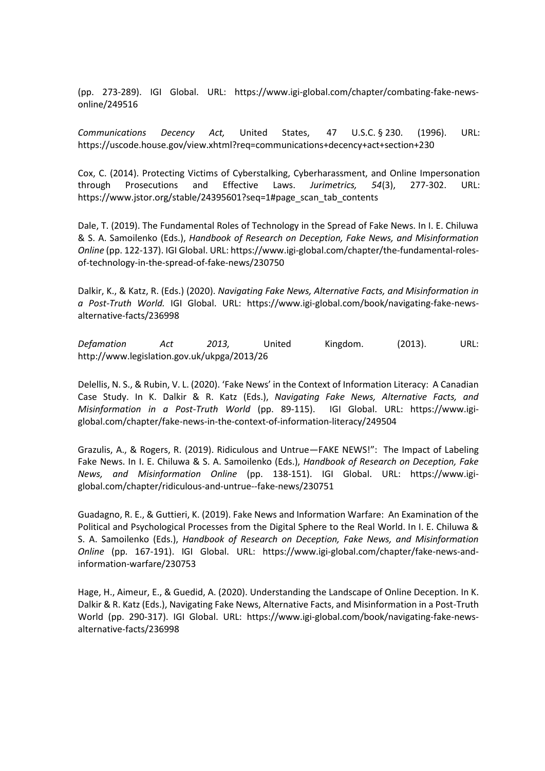(pp. 273-289). IGI Global. URL: https://www.igi-global.com/chapter/combating-fake-newsonline/249516

*Communications Decency Act,* United States, [47 U.S.C.](https://en.wikipedia.org/wiki/Title_47_of_the_United_States_Code) § [230.](https://www.law.cornell.edu/uscode/text/47/230) (1996). URL: https://uscode.house.gov/view.xhtml?req=communications+decency+act+section+230

Cox, C. (2014). Protecting Victims of Cyberstalking, Cyberharassment, and Online Impersonation through Prosecutions and Effective Laws. *Jurimetrics, 54*(3), 277-302. URL: https://www.jstor.org/stable/24395601?seq=1#page\_scan\_tab\_contents

Dale, T. (2019). The Fundamental Roles of Technology in the Spread of Fake News. In I. E. Chiluwa & S. A. Samoilenko (Eds.), *Handbook of Research on Deception, Fake News, and Misinformation Online* (pp. 122-137). IGI Global. URL: https://www.igi-global.com/chapter/the-fundamental-rolesof-technology-in-the-spread-of-fake-news/230750

Dalkir, K., & Katz, R. (Eds.) (2020). *Navigating Fake News, Alternative Facts, and Misinformation in a Post-Truth World.* IGI Global. URL: https://www.igi-global.com/book/navigating-fake-newsalternative-facts/236998

*Defamation Act 2013,* United Kingdom. (2013). URL: http://www.legislation.gov.uk/ukpga/2013/26

Delellis, N. S., & Rubin, V. L. (2020). 'Fake News' in the Context of Information Literacy: A Canadian Case Study. In K. Dalkir & R. Katz (Eds.), *Navigating Fake News, Alternative Facts, and Misinformation in a Post-Truth World* (pp. 89-115). IGI Global. URL: https://www.igiglobal.com/chapter/fake-news-in-the-context-of-information-literacy/249504

Grazulis, A., & Rogers, R. (2019). Ridiculous and Untrue—FAKE NEWS!": The Impact of Labeling Fake News. In I. E. Chiluwa & S. A. Samoilenko (Eds.), *Handbook of Research on Deception, Fake News, and Misinformation Online* (pp. 138-151). IGI Global. URL: https://www.igiglobal.com/chapter/ridiculous-and-untrue--fake-news/230751

Guadagno, R. E., & Guttieri, K. (2019). Fake News and Information Warfare: An Examination of the Political and Psychological Processes from the Digital Sphere to the Real World. In I. E. Chiluwa & S. A. Samoilenko (Eds.), *Handbook of Research on Deception, Fake News, and Misinformation Online* (pp. 167-191). IGI Global. URL: https://www.igi-global.com/chapter/fake-news-andinformation-warfare/230753

Hage, H., Aimeur, E., & Guedid, A. (2020). Understanding the Landscape of Online Deception. In K. Dalkir & R. Katz (Eds.), Navigating Fake News, Alternative Facts, and Misinformation in a Post-Truth World (pp. 290-317). IGI Global. URL: https://www.igi-global.com/book/navigating-fake-newsalternative-facts/236998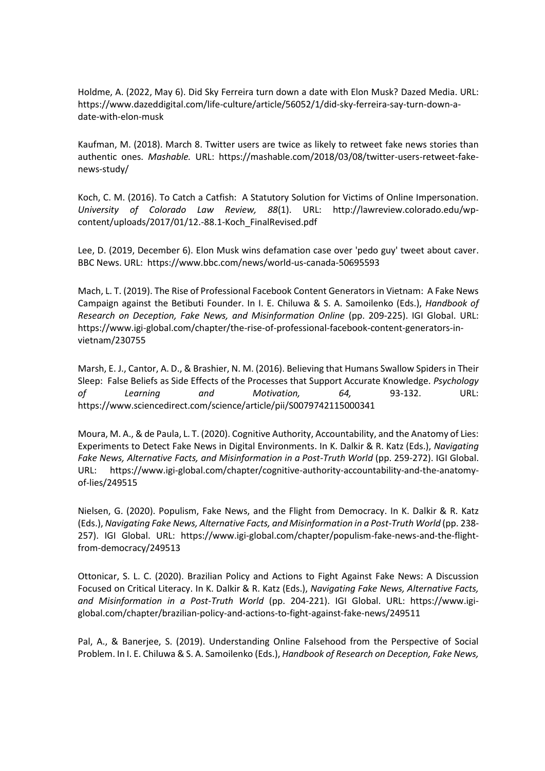Holdme, A. (2022, May 6). Did Sky Ferreira turn down a date with Elon Musk? Dazed Media. URL: https://www.dazeddigital.com/life-culture/article/56052/1/did-sky-ferreira-say-turn-down-adate-with-elon-musk

Kaufman, M. (2018). March 8. Twitter users are twice as likely to retweet fake news stories than authentic ones. *Mashable.* URL: https://mashable.com/2018/03/08/twitter-users-retweet-fakenews-study/

Koch, C. M. (2016). To Catch a Catfish: A Statutory Solution for Victims of Online Impersonation. *University of Colorado Law Review, 88*(1). URL: http://lawreview.colorado.edu/wpcontent/uploads/2017/01/12.-88.1-Koch\_FinalRevised.pdf

Lee, D. (2019, December 6). Elon Musk wins defamation case over 'pedo guy' tweet about caver. BBC News. URL: https://www.bbc.com/news/world-us-canada-50695593

Mach, L. T. (2019). The Rise of Professional Facebook Content Generators in Vietnam: A Fake News Campaign against the Betibuti Founder. In I. E. Chiluwa & S. A. Samoilenko (Eds.), *Handbook of Research on Deception, Fake News, and Misinformation Online* (pp. 209-225). IGI Global. URL: https://www.igi-global.com/chapter/the-rise-of-professional-facebook-content-generators-invietnam/230755

Marsh, E. J., Cantor, A. D., & Brashier, N. M. (2016). Believing that Humans Swallow Spiders in Their Sleep: False Beliefs as Side Effects of the Processes that Support Accurate Knowledge. *Psychology of Learning and Motivation, 64,* 93-132. URL: https://www.sciencedirect.com/science/article/pii/S0079742115000341

Moura, M. A., & de Paula, L. T. (2020). Cognitive Authority, Accountability, and the Anatomy of Lies: Experiments to Detect Fake News in Digital Environments. In K. Dalkir & R. Katz (Eds.), *Navigating Fake News, Alternative Facts, and Misinformation in a Post-Truth World* (pp. 259-272). IGI Global. URL: https://www.igi-global.com/chapter/cognitive-authority-accountability-and-the-anatomyof-lies/249515

Nielsen, G. (2020). Populism, Fake News, and the Flight from Democracy. In K. Dalkir & R. Katz (Eds.), *Navigating Fake News, Alternative Facts, and Misinformation in a Post-Truth World* (pp. 238- 257). IGI Global. URL: https://www.igi-global.com/chapter/populism-fake-news-and-the-flightfrom-democracy/249513

Ottonicar, S. L. C. (2020). Brazilian Policy and Actions to Fight Against Fake News: A Discussion Focused on Critical Literacy. In K. Dalkir & R. Katz (Eds.), *Navigating Fake News, Alternative Facts, and Misinformation in a Post-Truth World* (pp. 204-221). IGI Global. URL: https://www.igiglobal.com/chapter/brazilian-policy-and-actions-to-fight-against-fake-news/249511

Pal, A., & Banerjee, S. (2019). Understanding Online Falsehood from the Perspective of Social Problem. In I. E. Chiluwa & S. A. Samoilenko (Eds.), *Handbook of Research on Deception, Fake News,*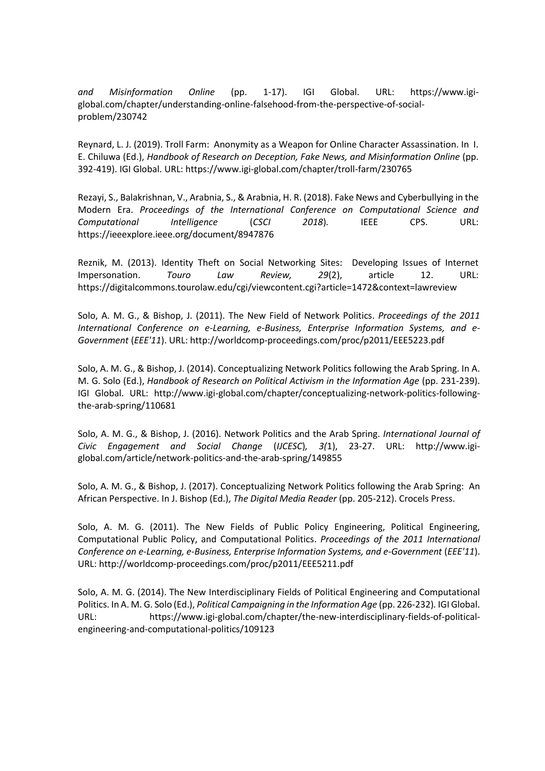*and Misinformation Online* (pp. 1-17). IGI Global. URL: https://www.igiglobal.com/chapter/understanding-online-falsehood-from-the-perspective-of-socialproblem/230742

Reynard, L. J. (2019). Troll Farm: Anonymity as a Weapon for Online Character Assassination. In I. E. Chiluwa (Ed.), *Handbook of Research on Deception, Fake News, and Misinformation Online* (pp. 392-419). IGI Global. URL: https://www.igi-global.com/chapter/troll-farm/230765

Rezayi, S., Balakrishnan, V., Arabnia, S., & Arabnia, H. R. (2018). Fake News and Cyberbullying in the Modern Era. *Proceedings of the International Conference on Computational Science and Computational Intelligence* (*CSCI 2018*)*.* IEEE CPS. URL: https://ieeexplore.ieee.org/document/8947876

Reznik, M. (2013). Identity Theft on Social Networking Sites: Developing Issues of Internet Impersonation. *Touro Law Review, 29*(2), article 12. URL: https://digitalcommons.tourolaw.edu/cgi/viewcontent.cgi?article=1472&context=lawreview

Solo, A. M. G., & Bishop, J. (2011). The New Field of Network Politics. *Proceedings of the 2011 International Conference on e-Learning, e-Business, Enterprise Information Systems, and e-Government* (*EEE'11*). URL: http://worldcomp-proceedings.com/proc/p2011/EEE5223.pdf

Solo, A. M. G., & Bishop, J. (2014). Conceptualizing Network Politics following the Arab Spring. In A. M. G. Solo (Ed.), *Handbook of Research on Political Activism in the Information Age* (pp. 231-239). IGI Global. URL: http://www.igi-global.com/chapter/conceptualizing-network-politics-followingthe-arab-spring/110681

Solo, A. M. G., & Bishop, J. (2016). Network Politics and the Arab Spring. *International Journal of Civic Engagement and Social Change* (*IJCESC*)*, 3(*1), 23-27. URL: http://www.igiglobal.com/article/network-politics-and-the-arab-spring/149855

Solo, A. M. G., & Bishop, J. (2017). Conceptualizing Network Politics following the Arab Spring: An African Perspective. In J. Bishop (Ed.), *The Digital Media Reader* (pp. 205-212). Crocels Press.

Solo, A. M. G. (2011). The New Fields of Public Policy Engineering, Political Engineering, Computational Public Policy, and Computational Politics. *Proceedings of the 2011 International Conference on e-Learning, e-Business, Enterprise Information Systems, and e-Government* (*EEE'11*). URL: http://worldcomp-proceedings.com/proc/p2011/EEE5211.pdf

Solo, A. M. G. (2014). The New Interdisciplinary Fields of Political Engineering and Computational Politics. In A. M. G. Solo (Ed.), *Political Campaigning in the Information Age* (pp. 226-232)*.* IGI Global. URL: https://www.igi-global.com/chapter/the-new-interdisciplinary-fields-of-politicalengineering-and-computational-politics/109123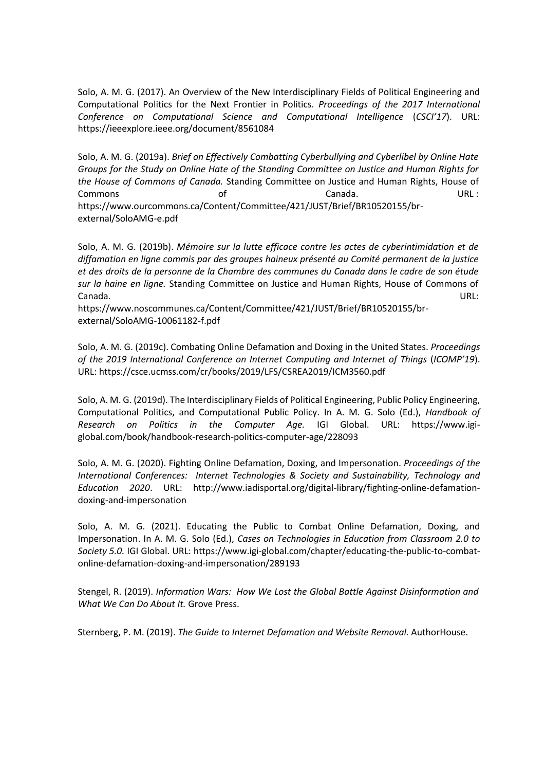Solo, A. M. G. (2017). An Overview of the New Interdisciplinary Fields of Political Engineering and Computational Politics for the Next Frontier in Politics. *Proceedings of the 2017 International Conference on Computational Science and Computational Intelligence* (*CSCI'17*). URL: https://ieeexplore.ieee.org/document/8561084

Solo, A. M. G. (2019a). *Brief on Effectively Combatting Cyberbullying and Cyberlibel by Online Hate Groups for the Study on Online Hate of the Standing Committee on Justice and Human Rights for the House of Commons of Canada.* Standing Committee on Justice and Human Rights, House of Commons of Canada. URL : https://www.ourcommons.ca/Content/Committee/421/JUST/Brief/BR10520155/brexternal/SoloAMG-e.pdf

Solo, A. M. G. (2019b). *Mémoire sur la lutte efficace contre les actes de cyberintimidation et de diffamation en ligne commis par des groupes haineux présenté au Comité permanent de la justice et des droits de la personne de la Chambre des communes du Canada dans le cadre de son étude sur la haine en ligne.* Standing Committee on Justice and Human Rights, House of Commons of Canada. URL:

https://www.noscommunes.ca/Content/Committee/421/JUST/Brief/BR10520155/brexternal/SoloAMG-10061182-f.pdf

Solo, A. M. G. (2019c). Combating Online Defamation and Doxing in the United States. *Proceedings of the 2019 International Conference on Internet Computing and Internet of Things* (*ICOMP'19*). URL: https://csce.ucmss.com/cr/books/2019/LFS/CSREA2019/ICM3560.pdf

Solo, A. M. G. (2019d). The Interdisciplinary Fields of Political Engineering, Public Policy Engineering, Computational Politics, and Computational Public Policy. In A. M. G. Solo (Ed.), *Handbook of Research on Politics in the Computer Age.* IGI Global. URL: https://www.igiglobal.com/book/handbook-research-politics-computer-age/228093

Solo, A. M. G. (2020). Fighting Online Defamation, Doxing, and Impersonation. *Proceedings of the International Conferences: Internet Technologies & Society and Sustainability, Technology and Education 2020*. URL: http://www.iadisportal.org/digital-library/fighting-online-defamationdoxing-and-impersonation

Solo, A. M. G. (2021). Educating the Public to Combat Online Defamation, Doxing, and Impersonation. In A. M. G. Solo (Ed.), *Cases on Technologies in Education from Classroom 2.0 to Society 5.0.* IGI Global. URL: https://www.igi-global.com/chapter/educating-the-public-to-combatonline-defamation-doxing-and-impersonation/289193

Stengel, R. (2019). *Information Wars: How We Lost the Global Battle Against Disinformation and What We Can Do About It.* Grove Press.

Sternberg, P. M. (2019). *The Guide to Internet Defamation and Website Removal.* AuthorHouse.